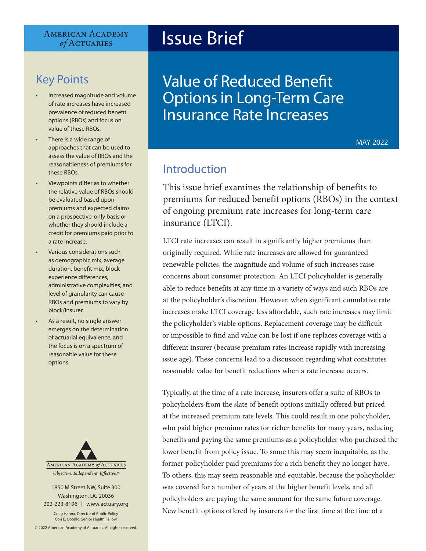#### **AMERICAN ACADEMY** of ACTUARIES

# Key Points

- Increased magnitude and volume of rate increases have increased prevalence of reduced benefit options (RBOs) and focus on value of these RBOs.
- There is a wide range of approaches that can be used to assess the value of RBOs and the reasonableness of premiums for these RBOs.
- Viewpoints differ as to whether the relative value of RBOs should be evaluated based upon premiums and expected claims on a prospective-only basis or whether they should include a credit for premiums paid prior to a rate increase.
- Various considerations such as demographic mix, average duration, benefit mix, block experience differences, administrative complexities, and level of granularity can cause RBOs and premiums to vary by block/insurer.
- As a result, no single answer emerges on the determination of actuarial equivalence, and the focus is on a spectrum of reasonable value for these options.



Objective. Independent. Effective.™

1850 M Street NW, Suite 300 Washington, DC 20036 202-223-8196 | [www.actuary.org](http://actuary.org)

Craig Hanna, Director of Public Policy Cori E. Uccello, Senior Health Fellow

© 2022 American Academy of Actuaries. All rights reserved.

# Issue Brief

Value of Reduced Benefit Options in Long-Term Care Insurance Rate Increases

MAY 2022

## Introduction

This issue brief examines the relationship of benefits to premiums for reduced benefit options (RBOs) in the context of ongoing premium rate increases for long-term care insurance (LTCI).

LTCI rate increases can result in significantly higher premiums than originally required. While rate increases are allowed for guaranteed renewable policies, the magnitude and volume of such increases raise concerns about consumer protection. An LTCI policyholder is generally able to reduce benefits at any time in a variety of ways and such RBOs are at the policyholder's discretion. However, when significant cumulative rate increases make LTCI coverage less affordable, such rate increases may limit the policyholder's viable options. Replacement coverage may be difficult or impossible to find and value can be lost if one replaces coverage with a different insurer (because premium rates increase rapidly with increasing issue age). These concerns lead to a discussion regarding what constitutes reasonable value for benefit reductions when a rate increase occurs.

Typically, at the time of a rate increase, insurers offer a suite of RBOs to policyholders from the slate of benefit options initially offered but priced at the increased premium rate levels. This could result in one policyholder, who paid higher premium rates for richer benefits for many years, reducing benefits and paying the same premiums as a policyholder who purchased the lower benefit from policy issue. To some this may seem inequitable, as the former policyholder paid premiums for a rich benefit they no longer have. To others, this may seem reasonable and equitable, because the policyholder was covered for a number of years at the higher benefit levels, and all policyholders are paying the same amount for the same future coverage. New benefit options offered by insurers for the first time at the time of a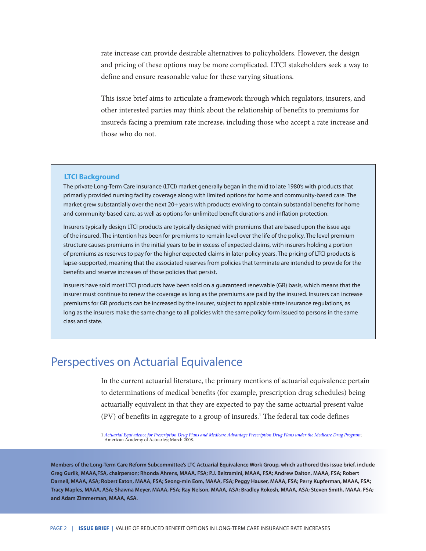rate increase can provide desirable alternatives to policyholders. However, the design and pricing of these options may be more complicated. LTCI stakeholders seek a way to define and ensure reasonable value for these varying situations.

This issue brief aims to articulate a framework through which regulators, insurers, and other interested parties may think about the relationship of benefits to premiums for insureds facing a premium rate increase, including those who accept a rate increase and those who do not.

#### **LTCI Background**

The private Long-Term Care Insurance (LTCI) market generally began in the mid to late 1980's with products that primarily provided nursing facility coverage along with limited options for home and community-based care. The market grew substantially over the next 20+ years with products evolving to contain substantial benefits for home and community-based care, as well as options for unlimited benefit durations and inflation protection.

Insurers typically design LTCI products are typically designed with premiums that are based upon the issue age of the insured. The intention has been for premiums to remain level over the life of the policy. The level premium structure causes premiums in the initial years to be in excess of expected claims, with insurers holding a portion of premiums as reserves to pay for the higher expected claims in later policy years. The pricing of LTCI products is lapse-supported, meaning that the associated reserves from policies that terminate are intended to provide for the benefits and reserve increases of those policies that persist.

Insurers have sold most LTCI products have been sold on a guaranteed renewable (GR) basis, which means that the insurer must continue to renew the coverage as long as the premiums are paid by the insured. Insurers can increase premiums for GR products can be increased by the insurer, subject to applicable state insurance regulations, as long as the insurers make the same change to all policies with the same policy form issued to persons in the same class and state.

### Perspectives on Actuarial Equivalence

In the current actuarial literature, the primary mentions of actuarial equivalence pertain to determinations of medical benefits (for example, prescription drug schedules) being actuarially equivalent in that they are expected to pay the same actuarial present value (PV) of benefits in aggregate to a group of insureds.1 The federal tax code defines

1 *[Actuarial Equivalence for Prescription Drug Plans and Medicare Advantage Prescription Drug Plans under the Medicare Drug Program](https://www.actuary.org/sites/default/files/files/publications/Practice_note_on_actuarial_equivalence_certification_for_private_prescription-drug_plans_under_Medicare_Part_D_mar2008.pdf)*; American Academy of Actuaries; March 2008.

**Members of the Long-Term Care Reform Subcommittee's LTC Actuarial Equivalence Work Group, which authored this issue brief, include Greg Gurlik, MAAA,FSA, chairperson; Rhonda Ahrens, MAAA, FSA; P.J. Beltramini, MAAA, FSA; Andrew Dalton, MAAA, FSA; Robert Darnell, MAAA, ASA; Robert Eaton, MAAA, FSA; Seong-min Eom, MAAA, FSA; Peggy Hauser, MAAA, FSA; Perry Kupferman, MAAA, FSA; Tracy Maples, MAAA, ASA; Shawna Meyer, MAAA, FSA; Ray Nelson, MAAA, ASA; Bradley Rokosh, MAAA, ASA; Steven Smith, MAAA, FSA; and Adam Zimmerman, MAAA, ASA.**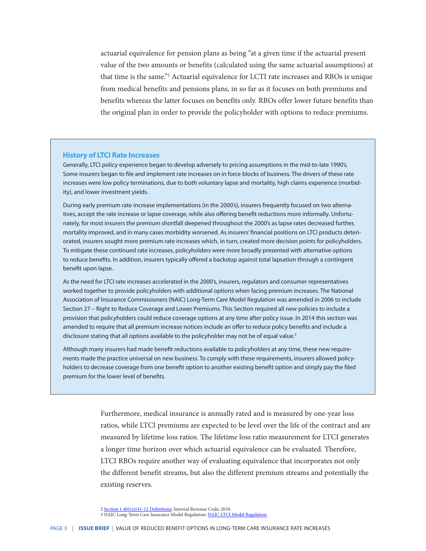actuarial equivalence for pension plans as being "at a given time if the actuarial present value of the two amounts or benefits (calculated using the same actuarial assumptions) at that time is the same."2 Actuarial equivalence for LCTI rate increases and RBOs is unique from medical benefits and pensions plans, in so far as it focuses on both premiums and benefits whereas the latter focuses on benefits only. RBOs offer lower future benefits than the original plan in order to provide the policyholder with options to reduce premiums.

#### **History of LTCI Rate Increases**

Generally, LTCI policy experience began to develop adversely to pricing assumptions in the mid-to-late 1990's. Some insurers began to file and implement rate increases on in force blocks of business. The drivers of these rate increases were low policy terminations, due to both voluntary lapse and mortality, high claims experience (morbidity), and lower investment yields.

During early premium rate increase implementations (in the 2000's), insurers frequently focused on two alternatives, accept the rate increase or lapse coverage, while also offering benefit reductions more informally. Unfortunately, for most insurers the premium shortfall deepened throughout the 2000's as lapse rates decreased further, mortality improved, and in many cases morbidity worsened. As insurers' financial positions on LTCI products deteriorated, insurers sought more premium rate increases which, in turn, created more decision points for policyholders. To mitigate these continued rate increases, policyholders were more broadly presented with alternative options to reduce benefits. In addition, insurers typically offered a backstop against total lapsation through a contingent benefit upon lapse.

As the need for LTCI rate increases accelerated in the 2000's, insurers, regulators and consumer representatives worked together to provide policyholders with additional options when facing premium increases. The National Association of Insurance Commissioners (NAIC) Long-Term Care Model Regulation was amended in 2006 to include Section 27 – Right to Reduce Coverage and Lower Premiums. This Section required all new policies to include a provision that policyholders could reduce coverage options at any time after policy issue. In 2014 this section was amended to require that all premium increase notices include an offer to reduce policy benefits and include a disclosure stating that all options available to the policyholder may not be of equal value.<sup>3</sup>

Although many insurers had made benefit reductions available to policyholders at any time, these new requirements made the practice universal on new business. To comply with these requirements, insurers allowed policyholders to decrease coverage from one benefit option to another existing benefit option and simply pay the filed premium for the lower level of benefits.

> Furthermore, medical insurance is annually rated and is measured by one-year loss ratios, while LTCI premiums are expected to be level over the life of the contract and are measured by lifetime loss ratios. The lifetime loss ratio measurement for LTCI generates a longer time horizon over which actuarial equivalence can be evaluated. Therefore, LTCI RBOs require another way of evaluating equivalence that incorporates not only the different benefit streams, but also the different premium streams and potentially the existing reserves.

<sup>2</sup> [Section 1.401\(a\)\(4\)–12 Definitions](https://www.govinfo.gov/content/pkg/CFR-2010-title26-vol5/pdf/CFR-2010-title26-vol5-sec1-401a4-12.pdf); Internal Revenue Code; 2010.

<sup>3</sup> NAIC Long-Term Care Insurance Model Regulation: [NAIC LTCI Model Regulation](https://content.naic.org/sites/default/files/inline-files/MDL-641.pdf).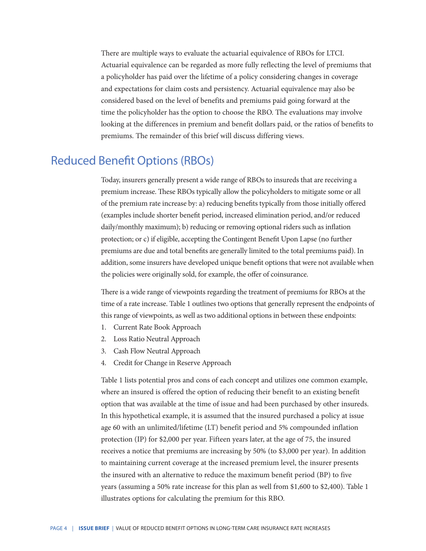There are multiple ways to evaluate the actuarial equivalence of RBOs for LTCI. Actuarial equivalence can be regarded as more fully reflecting the level of premiums that a policyholder has paid over the lifetime of a policy considering changes in coverage and expectations for claim costs and persistency. Actuarial equivalence may also be considered based on the level of benefits and premiums paid going forward at the time the policyholder has the option to choose the RBO. The evaluations may involve looking at the differences in premium and benefit dollars paid, or the ratios of benefits to premiums. The remainder of this brief will discuss differing views.

### Reduced Benefit Options (RBOs)

Today, insurers generally present a wide range of RBOs to insureds that are receiving a premium increase. These RBOs typically allow the policyholders to mitigate some or all of the premium rate increase by: a) reducing benefits typically from those initially offered (examples include shorter benefit period, increased elimination period, and/or reduced daily/monthly maximum); b) reducing or removing optional riders such as inflation protection; or c) if eligible, accepting the Contingent Benefit Upon Lapse (no further premiums are due and total benefits are generally limited to the total premiums paid). In addition, some insurers have developed unique benefit options that were not available when the policies were originally sold, for example, the offer of coinsurance.

There is a wide range of viewpoints regarding the treatment of premiums for RBOs at the time of a rate increase. Table 1 outlines two options that generally represent the endpoints of this range of viewpoints, as well as two additional options in between these endpoints:

- 1. Current Rate Book Approach
- 2. Loss Ratio Neutral Approach
- 3. Cash Flow Neutral Approach
- 4. Credit for Change in Reserve Approach

Table 1 lists potential pros and cons of each concept and utilizes one common example, where an insured is offered the option of reducing their benefit to an existing benefit option that was available at the time of issue and had been purchased by other insureds. In this hypothetical example, it is assumed that the insured purchased a policy at issue age 60 with an unlimited/lifetime (LT) benefit period and 5% compounded inflation protection (IP) for \$2,000 per year. Fifteen years later, at the age of 75, the insured receives a notice that premiums are increasing by 50% (to \$3,000 per year). In addition to maintaining current coverage at the increased premium level, the insurer presents the insured with an alternative to reduce the maximum benefit period (BP) to five years (assuming a 50% rate increase for this plan as well from \$1,600 to \$2,400). Table 1 illustrates options for calculating the premium for this RBO.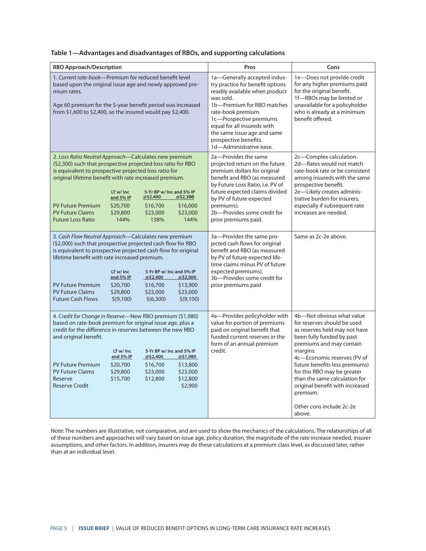|  | Table 1-Advantages and disadvantages of RBOs, and supporting calculations |  |
|--|---------------------------------------------------------------------------|--|
|  |                                                                           |  |

| <b>RBO Approach/Description</b>                                                                                                                                                                                                                                                                                                                                                                                                                                                                                      | Pros                                                                                                                                                                                                                                                                                                             | Cons                                                                                                                                                                                                                                                                                                                                                                                 |  |  |
|----------------------------------------------------------------------------------------------------------------------------------------------------------------------------------------------------------------------------------------------------------------------------------------------------------------------------------------------------------------------------------------------------------------------------------------------------------------------------------------------------------------------|------------------------------------------------------------------------------------------------------------------------------------------------------------------------------------------------------------------------------------------------------------------------------------------------------------------|--------------------------------------------------------------------------------------------------------------------------------------------------------------------------------------------------------------------------------------------------------------------------------------------------------------------------------------------------------------------------------------|--|--|
| 1. Current rate-book—Premium for reduced benefit level<br>based upon the original issue age and newly approved pre-<br>mium rates.<br>Age 60 premium for the 5-year benefit period was increased<br>from \$1,600 to \$2,400, so the insured would pay \$2,400.                                                                                                                                                                                                                                                       | 1a-Generally accepted indus-<br>try practice for benefit options<br>readily available when product<br>was sold.<br>1b-Premium for RBO matches<br>rate-book premium.<br>1c-Prospective premiums<br>equal for all insureds with<br>the same issue age and same<br>prospective benefits.<br>1d-Administrative ease. | 1e-Does not provide credit<br>for any higher premiums paid<br>for the original benefit.<br>1f-RBOs may be limited or<br>unavailable for a policyholder<br>who is already at a minimum<br>benefit offered.                                                                                                                                                                            |  |  |
| 2. Loss Ratio Neutral Approach-Calculates new premium<br>(\$2,300) such that prospective projected loss ratio for RBO<br>is equivalent to prospective projected loss ratio for<br>original lifetime benefit with rate increased premium.<br>LT w/ Inc<br>5-Yr BP w/ Inc and 5% IP<br>and 5% IP<br>@\$2,400<br>@\$2,300<br><b>PV Future Premium</b><br>\$20,700<br>\$16,700<br>\$16,000<br><b>PV Future Claims</b><br>\$29,800<br>\$23,000<br>\$23,000<br><b>Future Loss Ratio</b><br>144%<br>138%<br>144%            | 2a-Provides the same<br>projected return on the future<br>premium dollars for original<br>benefit and RBO (as measured<br>by Future Loss Ratio, i.e. PV of<br>future expected claims divided<br>by PV of future expected<br>premiums).<br>2b-Provides some credit for<br>prior premiums paid.                    | 2c-Complex calculation.<br>2d-Rates would not match<br>rate-book rate or be consistent<br>among insureds with the same<br>prospective benefit.<br>2e-Likely creates adminis-<br>trative burden for insurers,<br>especially if subsequent rate<br>increases are needed.                                                                                                               |  |  |
| 3. Cash Flow Neutral Approach-Calculates new premium<br>(\$2,000) such that prospective projected cash flow for RBO<br>is equivalent to prospective projected cash flow for original<br>lifetime benefit with rate increased premium.<br>LT w/ Inc<br>5-Yr BP w/ Inc and 5% IP<br>and 5% IP<br>@52,400<br>@\$2,000<br><b>PV Future Premium</b><br>\$20,700<br>\$16,700<br>\$13,900<br><b>PV Future Claims</b><br>\$29,800<br>\$23,000<br>\$23,000<br><b>Future Cash Flows</b><br>\$(9,100)<br>\$(6,300)<br>\$(9,100) | 3a-Provides the same pro-<br>jected cash flows for original<br>benefit and RBO (as measured<br>by PV of future expected life-<br>time claims minus PV of future<br>expected premiums).<br>3b-Provides some credit for<br>prior premiums paid                                                                     | Same as 2c-2e above.                                                                                                                                                                                                                                                                                                                                                                 |  |  |
| 4. Credit for Change in Reserve-New RBO premium (\$1,980)<br>based on rate-book premium for original issue age, plus a<br>credit for the difference in reserves between the new RBO<br>and original benefit.<br>LT w/ Inc<br>5-Yr BP w/ Inc and 5% IP<br>and 5% IP<br>@\$1,980<br>@52,400<br><b>PV Future Premium</b><br>\$20,700<br>\$16,700<br>\$13,800<br><b>PV Future Claims</b><br>\$29,800<br>\$23,000<br>\$23,000<br>Reserve<br>\$15,700<br>\$12,800<br>\$12,800<br><b>Reserve Credit</b><br>\$2,900          | 4a-Provides policyholder with<br>value for portion of premiums<br>paid on original benefit that<br>funded current reserves in the<br>form of an annual premium<br>credit.                                                                                                                                        | 4b-Not obvious what value<br>for reserves should be used<br>as reserves held may not have<br>been fully funded by past<br>premiums and may contain<br>margins.<br>4c-Economic reserves (PV of<br>future benefits less premiums)<br>for this RBO may be greater<br>than the same calculation for<br>original benefit with increased<br>premium.<br>Other cons include 2c-2e<br>above. |  |  |

Note: The numbers are illustrative, not comparative, and are used to show the mechanics of the calculations. The relationships of all of these numbers and approaches will vary based on issue age, policy duration, the magnitude of the rate increase needed, insurer assumptions, and other factors. In addition, insurers may do these calculations at a premium class level, as discussed later, rather than at an individual level.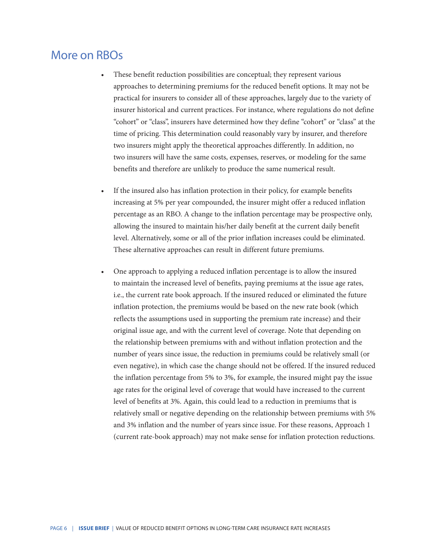### More on RBOs

- These benefit reduction possibilities are conceptual; they represent various approaches to determining premiums for the reduced benefit options. It may not be practical for insurers to consider all of these approaches, largely due to the variety of insurer historical and current practices. For instance, where regulations do not define "cohort" or "class", insurers have determined how they define "cohort" or "class" at the time of pricing. This determination could reasonably vary by insurer, and therefore two insurers might apply the theoretical approaches differently. In addition, no two insurers will have the same costs, expenses, reserves, or modeling for the same benefits and therefore are unlikely to produce the same numerical result.
- If the insured also has inflation protection in their policy, for example benefits increasing at 5% per year compounded, the insurer might offer a reduced inflation percentage as an RBO. A change to the inflation percentage may be prospective only, allowing the insured to maintain his/her daily benefit at the current daily benefit level. Alternatively, some or all of the prior inflation increases could be eliminated. These alternative approaches can result in different future premiums.
- One approach to applying a reduced inflation percentage is to allow the insured to maintain the increased level of benefits, paying premiums at the issue age rates, i.e., the current rate book approach. If the insured reduced or eliminated the future inflation protection, the premiums would be based on the new rate book (which reflects the assumptions used in supporting the premium rate increase) and their original issue age, and with the current level of coverage. Note that depending on the relationship between premiums with and without inflation protection and the number of years since issue, the reduction in premiums could be relatively small (or even negative), in which case the change should not be offered. If the insured reduced the inflation percentage from 5% to 3%, for example, the insured might pay the issue age rates for the original level of coverage that would have increased to the current level of benefits at 3%. Again, this could lead to a reduction in premiums that is relatively small or negative depending on the relationship between premiums with 5% and 3% inflation and the number of years since issue. For these reasons, Approach 1 (current rate-book approach) may not make sense for inflation protection reductions.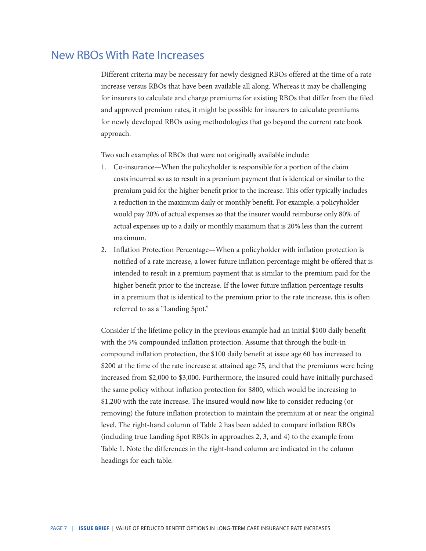### New RBOs With Rate Increases

Different criteria may be necessary for newly designed RBOs offered at the time of a rate increase versus RBOs that have been available all along. Whereas it may be challenging for insurers to calculate and charge premiums for existing RBOs that differ from the filed and approved premium rates, it might be possible for insurers to calculate premiums for newly developed RBOs using methodologies that go beyond the current rate book approach.

Two such examples of RBOs that were not originally available include:

- 1. Co-insurance—When the policyholder is responsible for a portion of the claim costs incurred so as to result in a premium payment that is identical or similar to the premium paid for the higher benefit prior to the increase. This offer typically includes a reduction in the maximum daily or monthly benefit. For example, a policyholder would pay 20% of actual expenses so that the insurer would reimburse only 80% of actual expenses up to a daily or monthly maximum that is 20% less than the current maximum.
- 2. Inflation Protection Percentage—When a policyholder with inflation protection is notified of a rate increase, a lower future inflation percentage might be offered that is intended to result in a premium payment that is similar to the premium paid for the higher benefit prior to the increase. If the lower future inflation percentage results in a premium that is identical to the premium prior to the rate increase, this is often referred to as a "Landing Spot."

Consider if the lifetime policy in the previous example had an initial \$100 daily benefit with the 5% compounded inflation protection. Assume that through the built-in compound inflation protection, the \$100 daily benefit at issue age 60 has increased to \$200 at the time of the rate increase at attained age 75, and that the premiums were being increased from \$2,000 to \$3,000. Furthermore, the insured could have initially purchased the same policy without inflation protection for \$800, which would be increasing to \$1,200 with the rate increase. The insured would now like to consider reducing (or removing) the future inflation protection to maintain the premium at or near the original level. The right-hand column of Table 2 has been added to compare inflation RBOs (including true Landing Spot RBOs in approaches 2, 3, and 4) to the example from Table 1. Note the differences in the right-hand column are indicated in the column headings for each table.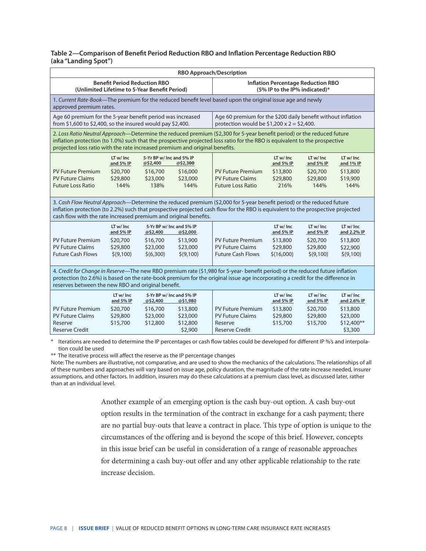#### **Table 2—Comparison of Benefit Period Reduction RBO and Inflation Percentage Reduction RBO (aka "Landing Spot")**

| <b>RBO Approach/Description</b>                                                                                                                                                                                                                                                                                                     |                                                                            |                                                                          |                                                         |                                                                                                                  |                                                            |                                                           |                                                                           |  |  |  |
|-------------------------------------------------------------------------------------------------------------------------------------------------------------------------------------------------------------------------------------------------------------------------------------------------------------------------------------|----------------------------------------------------------------------------|--------------------------------------------------------------------------|---------------------------------------------------------|------------------------------------------------------------------------------------------------------------------|------------------------------------------------------------|-----------------------------------------------------------|---------------------------------------------------------------------------|--|--|--|
| <b>Benefit Period Reduction RBO</b><br>(Unlimited Lifetime to 5-Year Benefit Period)                                                                                                                                                                                                                                                |                                                                            |                                                                          |                                                         | <b>Inflation Percentage Reduction RBO</b><br>(5% IP to the IP% indicated)*                                       |                                                            |                                                           |                                                                           |  |  |  |
| 1. Current Rate-Book—The premium for the reduced benefit level based upon the original issue age and newly<br>approved premium rates.                                                                                                                                                                                               |                                                                            |                                                                          |                                                         |                                                                                                                  |                                                            |                                                           |                                                                           |  |  |  |
| Age 60 premium for the 5-year benefit period was increased<br>from \$1,600 to \$2,400, so the insured would pay \$2,400.                                                                                                                                                                                                            |                                                                            |                                                                          |                                                         | Age 60 premium for the \$200 daily benefit without inflation<br>protection would be $$1,200 \times 2 = $2,400$ . |                                                            |                                                           |                                                                           |  |  |  |
| 2. Loss Ratio Neutral Approach—Determine the reduced premium (\$2,300 for 5-year benefit period) or the reduced future<br>inflation protection (to 1.0%) such that the prospective projected loss ratio for the RBO is equivalent to the prospective<br>projected loss ratio with the rate increased premium and original benefits. |                                                                            |                                                                          |                                                         |                                                                                                                  |                                                            |                                                           |                                                                           |  |  |  |
|                                                                                                                                                                                                                                                                                                                                     | LT w/ Inc<br>and 5% IP                                                     | 5-Yr BP w/ Inc and 5% IP<br>@\$2,400                                     | @\$2,300                                                |                                                                                                                  | LT w/Inc<br>and 5% IP                                      | LT w/ Inc<br>and 5% IP                                    | LT w/Inc<br>and 1% IP                                                     |  |  |  |
| <b>PV Future Premium</b><br><b>PV Future Claims</b><br><b>Future Loss Ratio</b>                                                                                                                                                                                                                                                     | \$20,700<br>\$29,800<br>144%                                               | \$16,700<br>\$23,000<br>138%                                             | \$16,000<br>\$23,000<br>144%                            | <b>PV Future Premium</b><br><b>PV Future Claims</b><br><b>Future Loss Ratio</b>                                  | \$13,800<br>\$29,800<br>216%                               | \$20,700<br>\$29,800<br>144%                              | \$13,800<br>\$19,900<br>144%                                              |  |  |  |
| 3. Cash Flow Neutral Approach—Determine the reduced premium (\$2,000 for 5-year benefit period) or the reduced future<br>inflation protection (to 2.2%) such that prospective projected cash flow for the RBO is equivalent to the prospective projected<br>cash flow with the rate increased premium and original benefits.        |                                                                            |                                                                          |                                                         |                                                                                                                  |                                                            |                                                           |                                                                           |  |  |  |
|                                                                                                                                                                                                                                                                                                                                     | LT w/ Inc<br>5-Yr BP w/ Inc and 5% IP<br>and 5% IP<br>@\$2,000<br>@\$2,400 |                                                                          |                                                         | LT w/ Inc<br>and 5% IP                                                                                           | LT w/Inc<br>and 5% IP                                      | LT w/ Inc<br>and 2.2% IP                                  |                                                                           |  |  |  |
| <b>PV Future Premium</b><br><b>PV Future Claims</b><br><b>Future Cash Flows</b>                                                                                                                                                                                                                                                     | \$20,700<br>\$29,800<br>\$(9,100)                                          | \$16,700<br>\$23,000<br>\$(6,300)                                        | \$13,900<br>\$23,000<br>\$(9,100)                       | <b>PV Future Premium</b><br><b>PV Future Claims</b><br><b>Future Cash Flows</b>                                  | \$13,800<br>\$29,800<br>\$(16,000)                         | \$20,700<br>\$29,800<br>\$(9,100)                         | \$13,800<br>\$22,900<br>\$(9,100)                                         |  |  |  |
| 4. Credit for Change in Reserve-The new RBO premium rate (\$1,980 for 5-year- benefit period) or the reduced future inflation<br>protection (to 2.6%) is based on the rate-book premium for the original issue age incorporating a credit for the difference in<br>reserves between the new RBO and original benefit.               |                                                                            |                                                                          |                                                         |                                                                                                                  |                                                            |                                                           |                                                                           |  |  |  |
| <b>PV Future Premium</b><br><b>PV Future Claims</b><br>Reserve<br><b>Reserve Credit</b>                                                                                                                                                                                                                                             | LT w/ Inc<br>and 5% IP<br>\$20,700<br>\$29,800<br>\$15,700                 | 5-Yr BP w/ Inc and 5% IP<br>@\$2,400<br>\$16,700<br>\$23,000<br>\$12,800 | @\$1,980<br>\$13,800<br>\$23,000<br>\$12,800<br>\$2,900 | <b>PV Future Premium</b><br><b>PV Future Claims</b><br>Reserve<br><b>Reserve Credit</b>                          | LT w/ Inc<br>and 5% IP<br>\$13,800<br>\$29,800<br>\$15,700 | LT w/Inc<br>and 5% IP<br>\$20,700<br>\$29,800<br>\$15,700 | LT w/ Inc<br>and 2.6% IP<br>\$13,800<br>\$23,000<br>\$12,400**<br>\$3,300 |  |  |  |

\* Iterations are needed to determine the IP percentages or cash flow tables could be developed for different IP %'s and interpolation could be used

\*\* The iterative process will affect the reserve as the IP percentage changes

Note: The numbers are illustrative, not comparative, and are used to show the mechanics of the calculations. The relationships of all of these numbers and approaches will vary based on issue age, policy duration, the magnitude of the rate increase needed, insurer assumptions, and other factors. In addition, insurers may do these calculations at a premium class level, as discussed later, rather than at an individual level.

> Another example of an emerging option is the cash buy-out option. A cash buy-out option results in the termination of the contract in exchange for a cash payment; there are no partial buy-outs that leave a contract in place. This type of option is unique to the circumstances of the offering and is beyond the scope of this brief. However, concepts in this issue brief can be useful in consideration of a range of reasonable approaches for determining a cash buy-out offer and any other applicable relationship to the rate increase decision.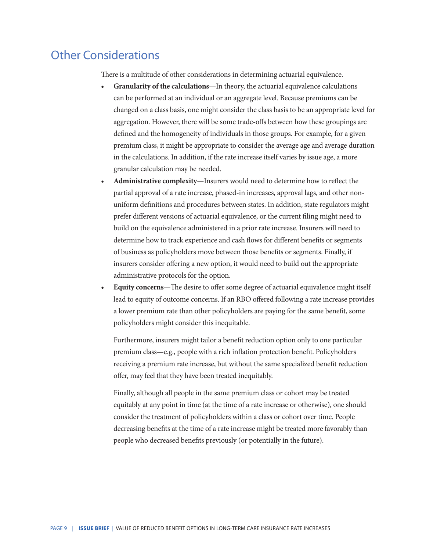### Other Considerations

There is a multitude of other considerations in determining actuarial equivalence.

- **• Granularity of the calculations**—In theory, the actuarial equivalence calculations can be performed at an individual or an aggregate level. Because premiums can be changed on a class basis, one might consider the class basis to be an appropriate level for aggregation. However, there will be some trade-offs between how these groupings are defined and the homogeneity of individuals in those groups. For example, for a given premium class, it might be appropriate to consider the average age and average duration in the calculations. In addition, if the rate increase itself varies by issue age, a more granular calculation may be needed.
- **• Administrative complexity**—Insurers would need to determine how to reflect the partial approval of a rate increase, phased-in increases, approval lags, and other nonuniform definitions and procedures between states. In addition, state regulators might prefer different versions of actuarial equivalence, or the current filing might need to build on the equivalence administered in a prior rate increase. Insurers will need to determine how to track experience and cash flows for different benefits or segments of business as policyholders move between those benefits or segments. Finally, if insurers consider offering a new option, it would need to build out the appropriate administrative protocols for the option.
- **• Equity concerns**—The desire to offer some degree of actuarial equivalence might itself lead to equity of outcome concerns. If an RBO offered following a rate increase provides a lower premium rate than other policyholders are paying for the same benefit, some policyholders might consider this inequitable.

Furthermore, insurers might tailor a benefit reduction option only to one particular premium class—e.g., people with a rich inflation protection benefit. Policyholders receiving a premium rate increase, but without the same specialized benefit reduction offer, may feel that they have been treated inequitably.

Finally, although all people in the same premium class or cohort may be treated equitably at any point in time (at the time of a rate increase or otherwise), one should consider the treatment of policyholders within a class or cohort over time. People decreasing benefits at the time of a rate increase might be treated more favorably than people who decreased benefits previously (or potentially in the future).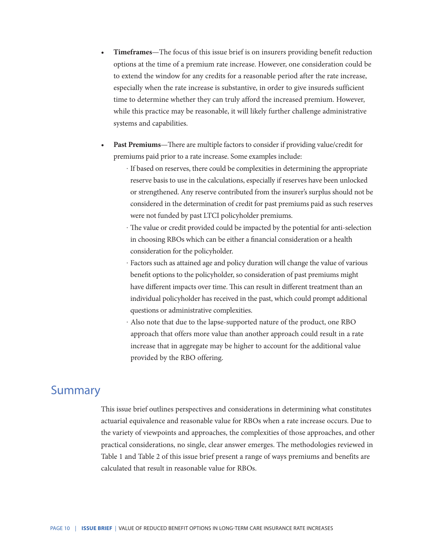- **• Timeframes**—The focus of this issue brief is on insurers providing benefit reduction options at the time of a premium rate increase. However, one consideration could be to extend the window for any credits for a reasonable period after the rate increase, especially when the rate increase is substantive, in order to give insureds sufficient time to determine whether they can truly afford the increased premium. However, while this practice may be reasonable, it will likely further challenge administrative systems and capabilities.
- **• Past Premiums**—There are multiple factors to consider if providing value/credit for premiums paid prior to a rate increase. Some examples include:
	- ‧ If based on reserves, there could be complexities in determining the appropriate reserve basis to use in the calculations, especially if reserves have been unlocked or strengthened. Any reserve contributed from the insurer's surplus should not be considered in the determination of credit for past premiums paid as such reserves were not funded by past LTCI policyholder premiums.
	- ‧ The value or credit provided could be impacted by the potential for anti-selection in choosing RBOs which can be either a financial consideration or a health consideration for the policyholder.
	- ‧ Factors such as attained age and policy duration will change the value of various benefit options to the policyholder, so consideration of past premiums might have different impacts over time. This can result in different treatment than an individual policyholder has received in the past, which could prompt additional questions or administrative complexities.
	- ‧ Also note that due to the lapse-supported nature of the product, one RBO approach that offers more value than another approach could result in a rate increase that in aggregate may be higher to account for the additional value provided by the RBO offering.

### Summary

This issue brief outlines perspectives and considerations in determining what constitutes actuarial equivalence and reasonable value for RBOs when a rate increase occurs. Due to the variety of viewpoints and approaches, the complexities of those approaches, and other practical considerations, no single, clear answer emerges. The methodologies reviewed in Table 1 and Table 2 of this issue brief present a range of ways premiums and benefits are calculated that result in reasonable value for RBOs.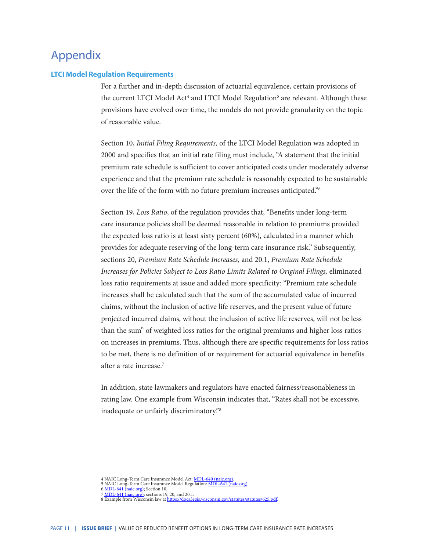### Appendix

#### **LTCI Model Regulation Requirements**

For a further and in-depth discussion of actuarial equivalence, certain provisions of the current LTCI Model Act<sup>4</sup> and LTCI Model Regulation<sup>5</sup> are relevant. Although these provisions have evolved over time, the models do not provide granularity on the topic of reasonable value.

Section 10, *Initial Filing Requirements,* of the LTCI Model Regulation was adopted in 2000 and specifies that an initial rate filing must include, "A statement that the initial premium rate schedule is sufficient to cover anticipated costs under moderately adverse experience and that the premium rate schedule is reasonably expected to be sustainable over the life of the form with no future premium increases anticipated."6

Section 19, *Loss Ratio*, of the regulation provides that, "Benefits under long-term care insurance policies shall be deemed reasonable in relation to premiums provided the expected loss ratio is at least sixty percent (60%), calculated in a manner which provides for adequate reserving of the long-term care insurance risk." Subsequently, sections 20, *Premium Rate Schedule Increases,* and 20.1, *Premium Rate Schedule Increases for Policies Subject to Loss Ratio Limits Related to Original Filings,* eliminated loss ratio requirements at issue and added more specificity: "Premium rate schedule increases shall be calculated such that the sum of the accumulated value of incurred claims, without the inclusion of active life reserves, and the present value of future projected incurred claims, without the inclusion of active life reserves, will not be less than the sum" of weighted loss ratios for the original premiums and higher loss ratios on increases in premiums. Thus, although there are specific requirements for loss ratios to be met, there is no definition of or requirement for actuarial equivalence in benefits after a rate increase.7

In addition, state lawmakers and regulators have enacted fairness/reasonableness in rating law. One example from Wisconsin indicates that, "Rates shall not be excessive, inadequate or unfairly discriminatory."8

7 <u>MDL-641 (naic.org)</u>; sections 19, 20, and 20.1.<br>8 Example from Wisconsin law at <u>https://docs.legis.wisconsin.gov/statutes/statutes/625.pdf</u>.

<sup>4</sup> NAIC Long-Term Care Insurance Model Act: [MDL-640 \(naic.org\)](https://content.naic.org/sites/default/files/inline-files/MDL-640.pdf?6%22%20\).

<sup>5</sup> NAIC Long-Term Care Insurance Model Regulation: <u>MDL-641 (naic.org)</u>.<br>6 <u>MDL-641 (naic.org)</u>; Section 10.